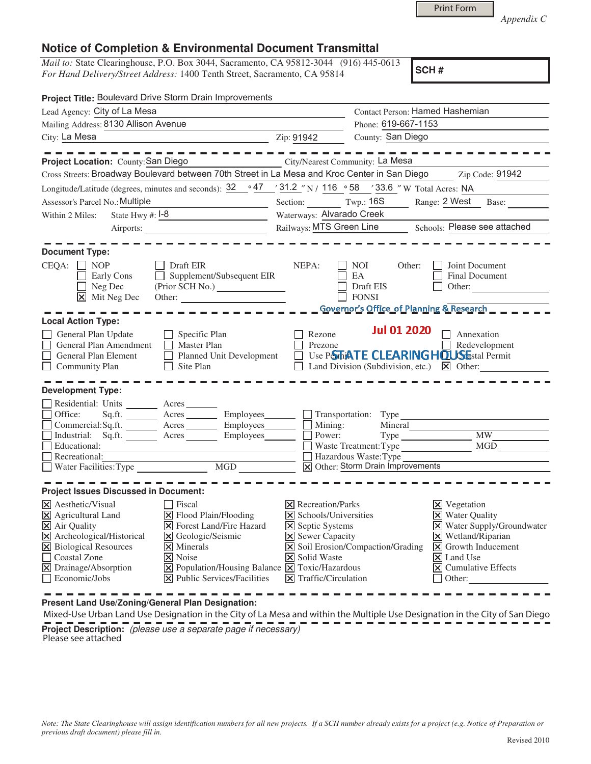Print Form

*Appendix C* 

## **Notice of Completion & Environmental Document Transmittal**

*Mail to:* State Clearinghouse, P.O. Box 3044, Sacramento, CA 95812-3044 (916) 445-0613 *For Hand Delivery/Street Address:* 1400 Tenth Street, Sacramento, CA 95814

**SCH #**

| Project Title: Boulevard Drive Storm Drain Improvements                                                                                                                                                                                                                                                                                                                                                                                                                                                                             |                                                                                                                                                                                                 |                                                                                            |                                                                                                                                                                                                                                            |
|-------------------------------------------------------------------------------------------------------------------------------------------------------------------------------------------------------------------------------------------------------------------------------------------------------------------------------------------------------------------------------------------------------------------------------------------------------------------------------------------------------------------------------------|-------------------------------------------------------------------------------------------------------------------------------------------------------------------------------------------------|--------------------------------------------------------------------------------------------|--------------------------------------------------------------------------------------------------------------------------------------------------------------------------------------------------------------------------------------------|
| Lead Agency: City of La Mesa                                                                                                                                                                                                                                                                                                                                                                                                                                                                                                        | Contact Person: Hamed Hashemian                                                                                                                                                                 |                                                                                            |                                                                                                                                                                                                                                            |
| Mailing Address: 8130 Allison Avenue                                                                                                                                                                                                                                                                                                                                                                                                                                                                                                |                                                                                                                                                                                                 | Phone: 619-667-1153                                                                        |                                                                                                                                                                                                                                            |
| City: La Mesa                                                                                                                                                                                                                                                                                                                                                                                                                                                                                                                       | Zip: 91942                                                                                                                                                                                      | County: San Diego                                                                          |                                                                                                                                                                                                                                            |
| Project Location: County: San Diego<br>Cross Streets: Broadway Boulevard between 70th Street in La Mesa and Kroc Center in San Diego                                                                                                                                                                                                                                                                                                                                                                                                | City/Nearest Community: La Mesa                                                                                                                                                                 |                                                                                            | Zip Code: 91942                                                                                                                                                                                                                            |
| Longitude/Latitude (degrees, minutes and seconds): $32 \cdot 947 \cdot 31.2 \cdot 8$ N / 116 $\cdot 58 \cdot 33.6 \cdot 8$ W Total Acres: NA                                                                                                                                                                                                                                                                                                                                                                                        |                                                                                                                                                                                                 |                                                                                            |                                                                                                                                                                                                                                            |
| Assessor's Parcel No.: Multiple<br><u> 1980 - Johann Barn, mars ann an t-</u>                                                                                                                                                                                                                                                                                                                                                                                                                                                       |                                                                                                                                                                                                 |                                                                                            | Section: Twp.: 16S __ Range: 2 West Base:                                                                                                                                                                                                  |
| State Hwy $\#$ : $\boxed{1-8}$<br>Within 2 Miles:                                                                                                                                                                                                                                                                                                                                                                                                                                                                                   | Waterways: Alvarado Creek                                                                                                                                                                       |                                                                                            |                                                                                                                                                                                                                                            |
|                                                                                                                                                                                                                                                                                                                                                                                                                                                                                                                                     | Railways: MTS Green Line _______ Schools: Please see attached                                                                                                                                   |                                                                                            |                                                                                                                                                                                                                                            |
| <b>Document Type:</b><br>$CEQA: \Box NP$<br>$\Box$ Draft EIR<br>$\Box$ Supplement/Subsequent EIR<br>Early Cons<br>$\Box$ Neg Dec                                                                                                                                                                                                                                                                                                                                                                                                    | NEPA:                                                                                                                                                                                           | NOI<br>Other:<br>EA<br>Draft EIS                                                           | Joint Document<br>Final Document<br>Other: $\qquad \qquad \qquad$                                                                                                                                                                          |
| X Mit Neg Dec                                                                                                                                                                                                                                                                                                                                                                                                                                                                                                                       |                                                                                                                                                                                                 | <b>FONSI</b>                                                                               |                                                                                                                                                                                                                                            |
| <b>Local Action Type:</b>                                                                                                                                                                                                                                                                                                                                                                                                                                                                                                           |                                                                                                                                                                                                 | _ _ Governor's Office of Planning & Research _ _                                           |                                                                                                                                                                                                                                            |
| General Plan Update<br>$\Box$ Specific Plan<br>General Plan Amendment<br>$\Box$ Master Plan<br>Planned Unit Development<br>General Plan Element<br>$\Box$ Site Plan<br><b>Community Plan</b>                                                                                                                                                                                                                                                                                                                                        | Rezone<br>Prezone                                                                                                                                                                               | <b>Jul 01 2020</b><br>Use P <b>STE ATE CLEARING HOUSE</b> stal Permit                      | $\Box$ Annexation<br>Redevelopment<br>Land Division (Subdivision, etc.) $\boxtimes$ Other:                                                                                                                                                 |
| <b>Development Type:</b><br>Residential: Units _________ Acres _______<br>Office: Sq.ft. _______ Acres _______ Employees_______ __ Transportation: Type<br>Commercial:Sq.ft. Acres Employees Mining:<br>Industrial: Sq.ft. ________ Acres ________ Employees _______ __ Power:<br>Educational:<br>Recreational:                                                                                                                                                                                                                     |                                                                                                                                                                                                 | Waste Treatment: Type<br>$\Box$ Hazardous Waste: Type<br>X Other: Storm Drain Improvements | <b>MW</b><br>MGD                                                                                                                                                                                                                           |
|                                                                                                                                                                                                                                                                                                                                                                                                                                                                                                                                     |                                                                                                                                                                                                 |                                                                                            |                                                                                                                                                                                                                                            |
| <b>Project Issues Discussed in Document:</b><br>X Aesthetic/Visual<br>Fiscal<br>$\triangleright$ Flood Plain/Flooding<br>$\boxtimes$ Agricultural Land<br>X Air Quality<br>X Forest Land/Fire Hazard<br>X Archeological/Historical<br>X Geologic/Seismic<br>X Biological Resources<br>$ \mathsf{x} $ Minerals<br>Coastal Zone<br>X Noise<br>X Drainage/Absorption<br>$\boxed{\mathbf{X}}$ Population/Housing Balance $\boxed{\mathbf{X}}$ Toxic/Hazardous<br>$\Box$ Economic/Jobs<br>$ \mathbf{\times} $ Public Services/Facilities | $\times$ Recreation/Parks<br>$\triangleright$ Schools/Universities<br><b>X</b> Septic Systems<br><b>X</b> Sewer Capacity<br><b>X</b> Solid Waste<br>$\overline{\mathsf{X}}$ Traffic/Circulation | $\boxed{\mathsf{X}}$ Soil Erosion/Compaction/Grading                                       | $\boxtimes$ Vegetation<br><b>X</b> Water Quality<br>X Water Supply/Groundwater<br>X Wetland/Riparian<br>$\vert\mathsf{X}\vert$ Growth Inducement<br>$\overline{\mathsf{x}}$ Land Use<br>$ \mathsf{x} $ Cumulative Effects<br>$\Box$ Other: |

**Present Land Use/Zoning/General Plan Designation:**

 Mixed-Use Urban Land Use Designation in the City of La Mesa and within the Multiple Use Designation in the City of San Diego **Project Description:** (please use a separate page if necessary) Please see attached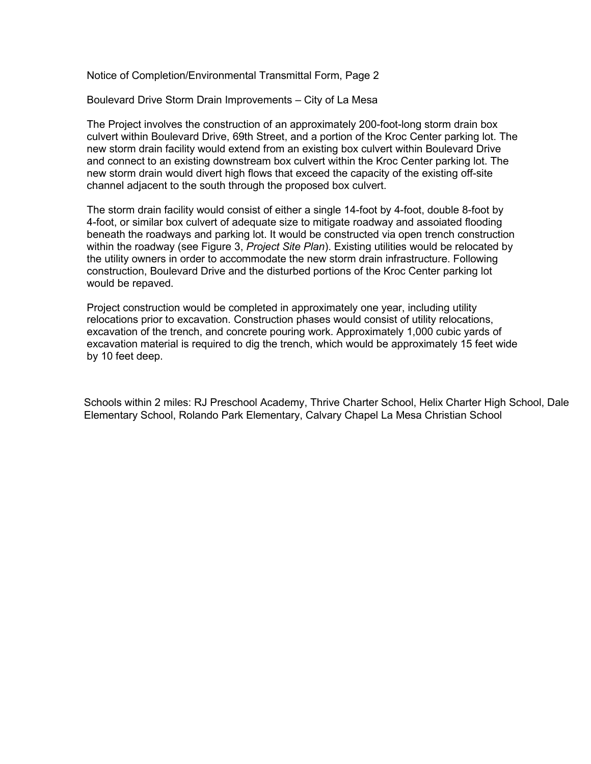Notice of Completion/Environmental Transmittal Form, Page 2

Boulevard Drive Storm Drain Improvements – City of La Mesa

The Project involves the construction of an approximately 200-foot-long storm drain box culvert within Boulevard Drive, 69th Street, and a portion of the Kroc Center parking lot. The new storm drain facility would extend from an existing box culvert within Boulevard Drive and connect to an existing downstream box culvert within the Kroc Center parking lot. The new storm drain would divert high flows that exceed the capacity of the existing off-site channel adjacent to the south through the proposed box culvert.

The storm drain facility would consist of either a single 14-foot by 4-foot, double 8-foot by 4-foot, or similar box culvert of adequate size to mitigate roadway and assoiated flooding beneath the roadways and parking lot. It would be constructed via open trench construction within the roadway (see Figure 3, *Project Site Plan*). Existing utilities would be relocated by the utility owners in order to accommodate the new storm drain infrastructure. Following construction, Boulevard Drive and the disturbed portions of the Kroc Center parking lot would be repaved.

Project construction would be completed in approximately one year, including utility relocations prior to excavation. Construction phases would consist of utility relocations, excavation of the trench, and concrete pouring work. Approximately 1,000 cubic yards of excavation material is required to dig the trench, which would be approximately 15 feet wide by 10 feet deep.

Schools within 2 miles: RJ Preschool Academy, Thrive Charter School, Helix Charter High School, Dale Elementary School, Rolando Park Elementary, Calvary Chapel La Mesa Christian School